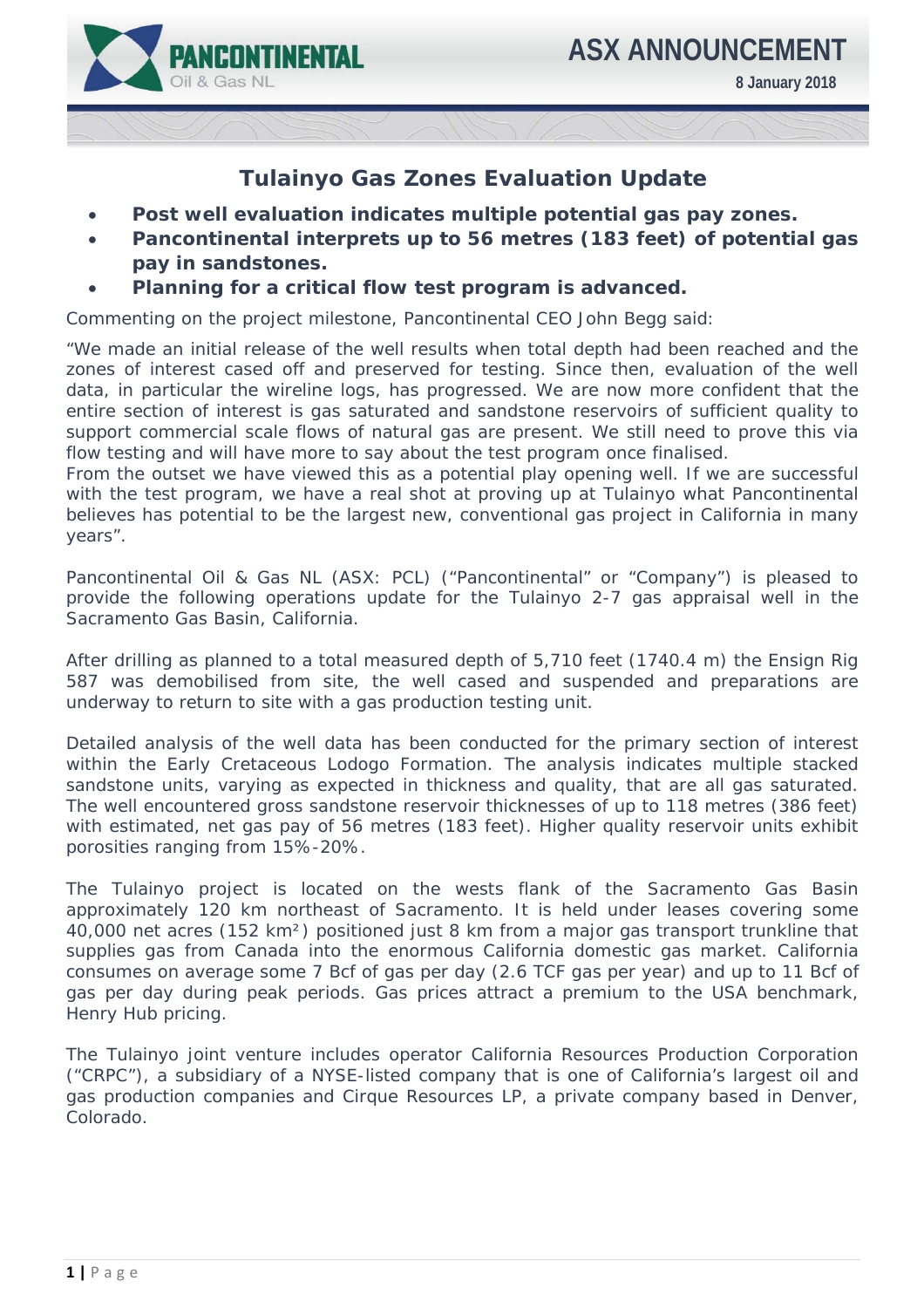

**8 January 2018** 

## **Tulainyo Gas Zones Evaluation Update**

- **Post well evaluation indicates multiple potential gas pay zones.**
- **Pancontinental interprets up to 56 metres (183 feet) of potential gas pay in sandstones.**
- **Planning for a critical flow test program is advanced.**

Commenting on the project milestone, Pancontinental CEO John Begg said:

*"We made an initial release of the well results when total depth had been reached and the*  zones of interest cased off and preserved for testing. Since then, evaluation of the well data, in particular the wireline logs, has progressed. We are now more confident that the *entire section of interest is gas saturated and sandstone reservoirs of sufficient quality to support commercial scale flows of natural gas are present. We still need to prove this via flow testing and will have more to say about the test program once finalised.* 

*From the outset we have viewed this as a potential play opening well. If we are successful with the test program, we have a real shot at proving up at Tulainyo what Pancontinental believes has potential to be the largest new, conventional gas project in California in many years".* 

Pancontinental Oil & Gas NL (ASX: PCL) ("Pancontinental" or "Company") is pleased to provide the following operations update for the Tulainyo 2-7 gas appraisal well in the Sacramento Gas Basin, California.

After drilling as planned to a total measured depth of 5,710 feet (1740.4 m) the Ensign Rig 587 was demobilised from site, the well cased and suspended and preparations are underway to return to site with a gas production testing unit.

Detailed analysis of the well data has been conducted for the primary section of interest within the Early Cretaceous Lodogo Formation. The analysis indicates multiple stacked sandstone units, varying as expected in thickness and quality, that are all gas saturated. The well encountered gross sandstone reservoir thicknesses of up to 118 metres (386 feet) with estimated, net gas pay of 56 metres (183 feet). Higher quality reservoir units exhibit porosities ranging from 15%-20%.

The Tulainyo project is located on the wests flank of the Sacramento Gas Basin approximately 120 km northeast of Sacramento. It is held under leases covering some 40,000 net acres (152 km²) positioned just 8 km from a major gas transport trunkline that supplies gas from Canada into the enormous California domestic gas market. California consumes on average some 7 Bcf of gas per day (2.6 TCF gas per year) and up to 11 Bcf of gas per day during peak periods. Gas prices attract a premium to the USA benchmark, Henry Hub pricing.

The Tulainyo joint venture includes operator California Resources Production Corporation ("CRPC"), a subsidiary of a NYSE-listed company that is one of California's largest oil and gas production companies and Cirque Resources LP, a private company based in Denver, Colorado.